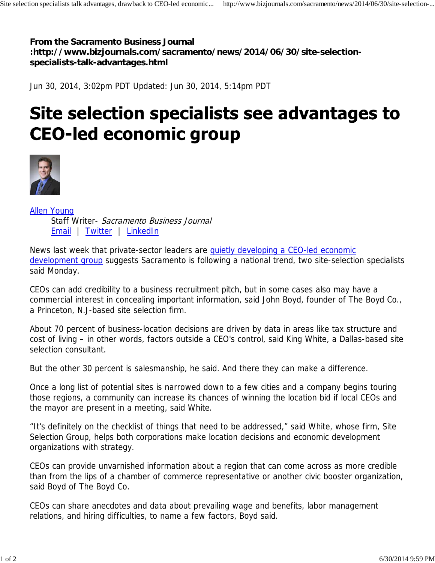**From the Sacramento Business Journal :http://www.bizjournals.com/sacramento/news/2014/06/30/site-selectionspecialists-talk-advantages.html**

Jun 30, 2014, 3:02pm PDT Updated: Jun 30, 2014, 5:14pm PDT

## Site selection specialists see advantages to **CEO-led economic group**



Allen Young Staff Writer- Sacramento Business Journal Email | Twitter | LinkedIn

News last week that private-sector leaders are quietly developing a CEO-led economic development group suggests Sacramento is following a national trend, two site-selection specialists said Monday.

CEOs can add credibility to a business recruitment pitch, but in some cases also may have a commercial interest in concealing important information, said John Boyd, founder of The Boyd Co., a Princeton, N.J-based site selection firm.

About 70 percent of business-location decisions are driven by data in areas like tax structure and cost of living – in other words, factors outside a CEO's control, said King White, a Dallas-based site selection consultant.

But the other 30 percent is salesmanship, he said. And there they can make a difference.

Once a long list of potential sites is narrowed down to a few cities and a company begins touring those regions, a community can increase its chances of winning the location bid if local CEOs and the mayor are present in a meeting, said White.

"It's definitely on the checklist of things that need to be addressed," said White, whose firm, Site Selection Group, helps both corporations make location decisions and economic development organizations with strategy.

CEOs can provide unvarnished information about a region that can come across as more credible than from the lips of a chamber of commerce representative or another civic booster organization, said Boyd of The Boyd Co.

CEOs can share anecdotes and data about prevailing wage and benefits, labor management relations, and hiring difficulties, to name a few factors, Boyd said.